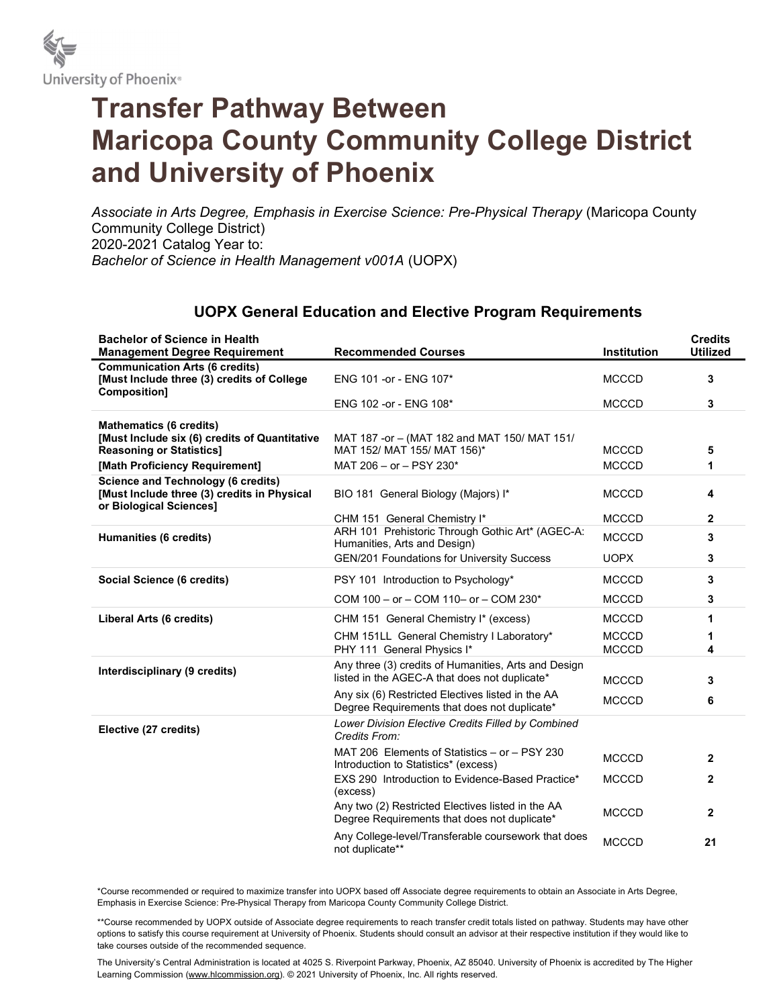

## Transfer Pathway Between Maricopa County Community College District and University of Phoenix

Associate in Arts Degree, Emphasis in Exercise Science: Pre-Physical Therapy (Maricopa County Community College District) 2020-2021 Catalog Year to: Bachelor of Science in Health Management v001A (UOPX)

## UOPX General Education and Elective Program Requirements

| <b>Bachelor of Science in Health</b><br><b>Management Degree Requirement</b>                                        | <b>Recommended Courses</b>                                                                            | <b>Institution</b>           | <b>Credits</b><br><b>Utilized</b> |
|---------------------------------------------------------------------------------------------------------------------|-------------------------------------------------------------------------------------------------------|------------------------------|-----------------------------------|
| <b>Communication Arts (6 credits)</b><br>[Must Include three (3) credits of College<br>Composition]                 | ENG 101 - or - ENG 107*                                                                               | <b>MCCCD</b>                 | 3                                 |
|                                                                                                                     | ENG 102 - or - ENG 108*                                                                               | <b>MCCCD</b>                 | 3                                 |
| <b>Mathematics (6 credits)</b>                                                                                      |                                                                                                       |                              |                                   |
| [Must Include six (6) credits of Quantitative<br><b>Reasoning or Statistics]</b>                                    | MAT 187 -or - (MAT 182 and MAT 150/ MAT 151/<br>MAT 152/ MAT 155/ MAT 156)*                           | <b>MCCCD</b>                 | 5                                 |
| [Math Proficiency Requirement]                                                                                      | MAT 206 - or - PSY 230*                                                                               | <b>MCCCD</b>                 | 1                                 |
| <b>Science and Technology (6 credits)</b><br>[Must Include three (3) credits in Physical<br>or Biological Sciences] | BIO 181 General Biology (Majors) I*                                                                   | <b>MCCCD</b>                 | 4                                 |
|                                                                                                                     | CHM 151 General Chemistry I*                                                                          | <b>MCCCD</b>                 | $\mathbf{2}$                      |
| <b>Humanities (6 credits)</b>                                                                                       | ARH 101 Prehistoric Through Gothic Art* (AGEC-A:<br>Humanities, Arts and Design)                      | <b>MCCCD</b>                 | 3                                 |
|                                                                                                                     | <b>GEN/201 Foundations for University Success</b>                                                     | <b>UOPX</b>                  | 3                                 |
| Social Science (6 credits)                                                                                          | PSY 101 Introduction to Psychology*                                                                   | <b>MCCCD</b>                 | 3                                 |
|                                                                                                                     | COM 100 - or - COM 110- or - COM 230*                                                                 | <b>MCCCD</b>                 | 3                                 |
| Liberal Arts (6 credits)                                                                                            | CHM 151 General Chemistry I* (excess)                                                                 | <b>MCCCD</b>                 | 1                                 |
|                                                                                                                     | CHM 151LL General Chemistry I Laboratory*<br>PHY 111 General Physics I*                               | <b>MCCCD</b><br><b>MCCCD</b> | 4                                 |
| Interdisciplinary (9 credits)                                                                                       | Any three (3) credits of Humanities, Arts and Design<br>listed in the AGEC-A that does not duplicate* | <b>MCCCD</b>                 | 3                                 |
|                                                                                                                     | Any six (6) Restricted Electives listed in the AA<br>Degree Requirements that does not duplicate*     | <b>MCCCD</b>                 | 6                                 |
| Elective (27 credits)                                                                                               | Lower Division Elective Credits Filled by Combined<br>Credits From:                                   |                              |                                   |
|                                                                                                                     | MAT 206 Elements of Statistics - or - PSY 230<br>Introduction to Statistics* (excess)                 | <b>MCCCD</b>                 | $\mathbf{2}$                      |
|                                                                                                                     | EXS 290 Introduction to Evidence-Based Practice*<br>(excess)                                          | <b>MCCCD</b>                 | 2                                 |
|                                                                                                                     | Any two (2) Restricted Electives listed in the AA<br>Degree Requirements that does not duplicate*     | <b>MCCCD</b>                 | $\mathbf{2}$                      |
|                                                                                                                     | Any College-level/Transferable coursework that does<br>not duplicate**                                | <b>MCCCD</b>                 | 21                                |

\*Course recommended or required to maximize transfer into UOPX based off Associate degree requirements to obtain an Associate in Arts Degree, Emphasis in Exercise Science: Pre-Physical Therapy from Maricopa County Community College District.

\*\*Course recommended by UOPX outside of Associate degree requirements to reach transfer credit totals listed on pathway. Students may have other options to satisfy this course requirement at University of Phoenix. Students should consult an advisor at their respective institution if they would like to take courses outside of the recommended sequence.

The University's Central Administration is located at 4025 S. Riverpoint Parkway, Phoenix, AZ 85040. University of Phoenix is accredited by The Higher Learning Commission (www.hlcommission.org). © 2021 University of Phoenix, Inc. All rights reserved.